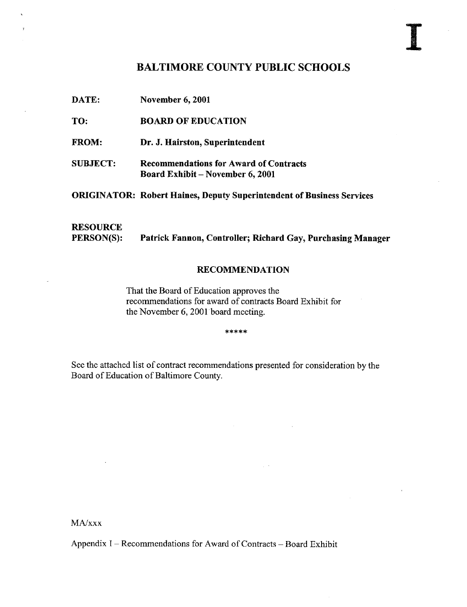# BALTIMORE COUNTY PUBLIC SCHOOLS

DATE: November 6, <sup>2001</sup>

TO: BOARD OF EDUCATION

FROM: Dr. J. Hairston, Superintendent

SUBJECT: Recommendations for Award of Contracts Board Exhibit - November 6, 2001

ORIGINATOR: Robert Haines, Deputy Superintendent of Business Services

# **RESOURCE**<br>PERSON(S): Patrick Fannon, Controller; Richard Gay, Purchasing Manager

### RECOMMENDATION

That the Board of Education approves the recommendations for award of contracts Board Exhibit for the November 6, 2001 board meeting.

\*\*\*\*\*

See the attached list of contract recommendations presented for consideration by the Board of Education of Baltimore County.

MA/xxx

Appendix I - Recommendations for Award of Contracts - Board Exhibit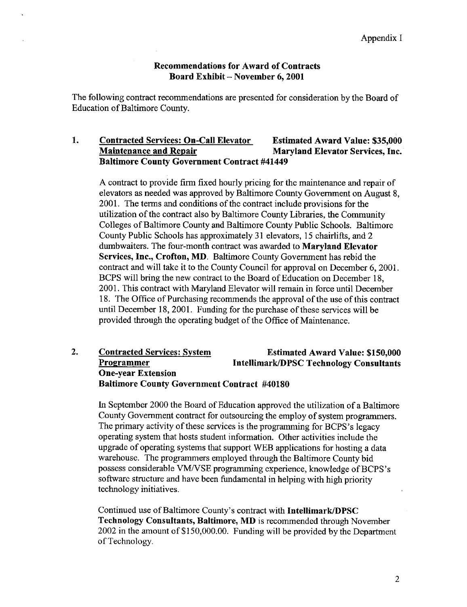### Recommendations for Award of Contracts Board Exhibit -- November 6, 2001

The following contract recommendations are presented for consideration by the Board of Education of Baltimore County.

#### 1. Contracted Services: On-Call Elevator Estimated Award Value: \$35,000<br>
Maintenance and Repair Maryland Elevator Services, Inc. Maryland Elevator Services, Inc. Baltimore County Government Contract #41449

A contract to provide firm fixed hourly pricing for the maintenance and repair of elevators as needed was approved by Baltimore County Government on August 8, 2001. The terms and conditions of the contract include provisions for the utilization of the contract also by Baltimore County Libraries, the Community Colleges of Baltimore County and Baltimore County Public Schools. Baltimore County Public Schools has approximately 31 elevators, 15 chairlifts, and 2 dumbwaiters. The four-month contract was awarded to **Maryland Elevator** Services, Inc., Crofton, MD. Baltimore County Government has rebid the contract and will take it to the County Council for approval on December 6, 2001. BCPS will bring the new contract to the Board of Education on December 18, 2001. This contract with Maryland Elevator will remain in force until December 18 . The Office of Purchasing recommends the approval of the use of this contract until December 18, 2001. Funding for the purchase of these services will be provided through the operating budget of the Office of Maintenance .

### 2. Contracted Services: System<br>
Programmer Formated Award Value: \$150,000<br>
Intellimark/DPSC Technology Consultants Intellimark/DPSC Technology Consultants One-year Extension Baltimore County Government Contract #40180

In September 2000 the Board of Education approved the utilization of a Baltimore County Government contract for outsourcing the employ of system programmers . The primary activity of these services is the programming for BCPS's legacy operating system that hosts student information. Other activities include the upgrade of operating systems that support WEB applications for hosting <sup>a</sup> data warehouse. The programmers employed through the Baltimore County bid possess considerable VM/VSE programming experience, knowledge of BCPS's software structure and have been fundamental in helping with high priority technology initiatives .

Continued use of Baltimore County's contract with Intellimark/DPSC Technology Consultants, Baltimore, MD is recommended through November 2002 in the amount of \$150,000.00. Funding will be provided by the Department of Technology.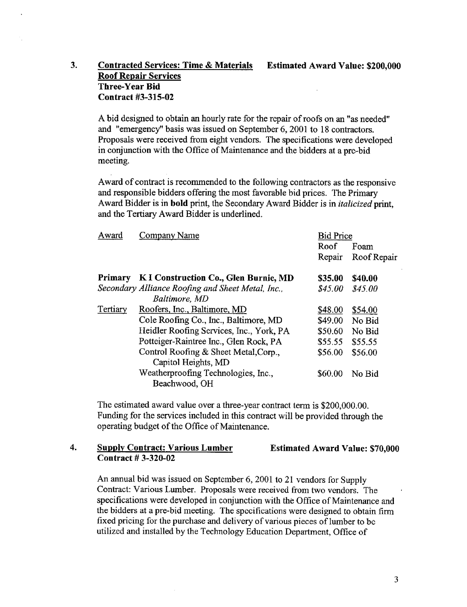## 3. Contracted Services: Time & Materials Estimated Award Value: \$200,000 Roof Repair Services Three-Year Bid Contract #3-315-02

A bid designed to obtain an hourly rate for the repair of roofs on an "as needed" and "emergency" basis was issued on September 6, 2001 to 18 contractors. Proposals were received from eight vendors. The specifications were developed in conjunction with the Office of Maintenance and the bidders at a pre-bid meeting.

Award of contract is recommended to the following contractors as the responsive and responsible bidders offering the most favorable bid prices. The Primary Award Bidder is in **bold** print, the Secondary Award Bidder is in *italicized* print, and the Tertiary Award Bidder is underlined.

| Award          | Company Name                                                 | <b>Bid Price</b> |             |
|----------------|--------------------------------------------------------------|------------------|-------------|
|                |                                                              | Roof             | Foam        |
|                |                                                              | Repair           | Roof Repair |
| <b>Primary</b> | K I Construction Co., Glen Burnie, MD                        | \$35.00          | \$40.00     |
|                | Secondary Alliance Roofing and Sheet Metal, Inc.,            | \$45.00          | \$45.00     |
|                | Baltimore, MD                                                |                  |             |
| Tertiary       | Roofers, Inc., Baltimore, MD                                 | \$48.00          | \$54.00     |
|                | Cole Roofing Co., Inc., Baltimore, MD                        | \$49.00          | No Bid      |
|                | Heidler Roofing Services, Inc., York, PA                     | \$50.60          | No Bid      |
|                | Potteiger-Raintree Inc., Glen Rock, PA                       | \$55.55          | \$55.55     |
|                | Control Roofing & Sheet Metal, Corp.,<br>Capitol Heights, MD | \$56.00          | \$56.00     |
|                | Weatherproofing Technologies, Inc.,<br>Beachwood, OH         | \$60.00          | No Bid      |
|                |                                                              |                  |             |

The estimated award value over a three-year contract term is \$200,000 .00. Funding for the services included in this contract will be provided through the operating budget of the Office of Maintenance.

### 4. Supply Contract: Various Lumber Contract # 3-320-02

Estimated Award Value: \$70,000

An annual bid was issued on September 6, <sup>2001</sup> to <sup>21</sup> vendors for Supply Contract: Various Lumber. Proposals were received from two vendors. The specifications were developed in conjunction with the Office of Maintenance and the bidders at a pre-bid meeting. The specifications were designed to obtain firm fixed pricing for the purchase and delivery of various pieces of lumber to be utilized and installed by the Technology Education Department, Office of